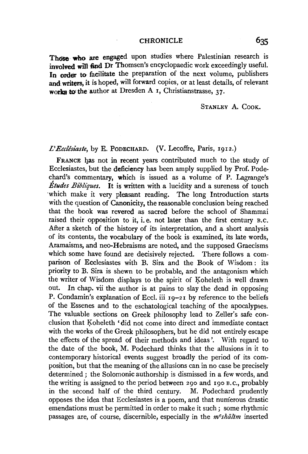## CHRONICLE 635

Those **who** are engaged upon studies where Palestinian research is involved will find Dr Thomsen's encyclopaedic work exceedingly useful. In order to facilitate the preparation of the next volume, publishers and writers, it is hoped, will forward copies, or at least details, of relevant works to the author at Dresden A 1, Christianstrasse. 37.

## STANLEY A. COOK.

## L'Ecclésiaste, by E. PODECHARD. (V. Lecoffre, Paris, 1912.)

FRANCE has not in recent years contributed much to the study of Ecclesiastes, but the deficiency has been amply supplied by Prof. Podechard's commentary, which is issued as a volume of P. Lagrange's **Études Bibliques.** It is written with a lucidity and a sureness of touch ·which make it very pleasant reading. The long Introduction starts with the question of Canonicity, the reasonable conclusion being reached that the book was revered as sacred before the school of Shammai raised their opposition to it, i.e. not later than the first century B.C. After a sketch of the history of its interpretation, and a short analysis of its contents, the vocabulary of the book is examined, its late words, Aramaisms, and neo-Hebraisms are noted, and the supposed Graecisms which some have found are decisively rejected. There follows a comparison of Ecclesiastes with B. Sira and the Book of Wisdom : its priority to B. Sira is shewn to be probable, and the antagonism which the writer of Wisdom displays to the spirit of Koheleth is well drawn out. In chap. vii the author is at pains to slay the dead in opposing P. Condamin's explanation of Eccl. iii 19-21 by reference to the beliefs of the Essenes and to the eschatological teaching of the apocalypses. The valuable sections on Greek philosophy lead to Zeller's safe conclusion that Koheleth 'did not come into direct and immediate contact with the works of the Greek philosophers, but he did not entirely escape the effects of the spread of their methods and ideas '. With regard to the date of the book, M. Podechard thinks that the allusions in it to contemporary historical events suggest broadly the period of its composition, but that the meaning of the allusions can in no case be precisely determined ; the Solomonic authorship is dismissed in a few words, and the writing is assigned to the period between 290 and 190 B. c., probably in the second half of the third century. M. Podechard prudently opposes the idea that Ecclesiastes is a poem, and that numerous drastic emendations must be permitted in order to make it such ; some rhythmic passages are, of course, discernible, especially in the *meshalim* inserted